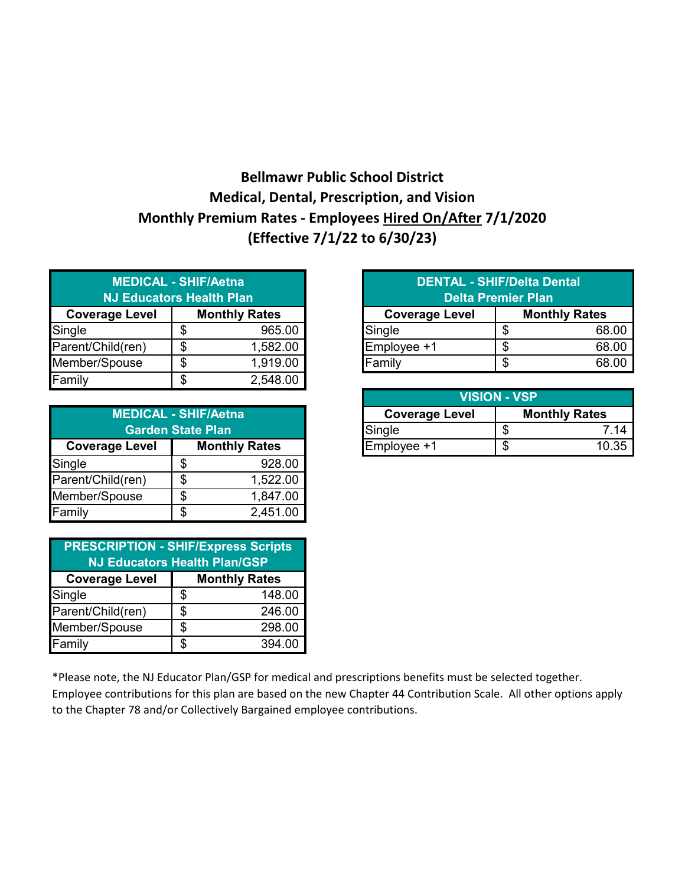## **Bellmawr Public School District Medical, Dental, Prescription, and Vision Monthly Premium Rates - Employees Hired On/After 7/1/2020 (Effective 7/1/22 to 6/30/23)**

| <b>MEDICAL - SHIF/Aetna</b><br><b>NJ Educators Health Plan</b> |                      |          |  |  |
|----------------------------------------------------------------|----------------------|----------|--|--|
| <b>Coverage Level</b>                                          | <b>Monthly Rates</b> |          |  |  |
| Single                                                         | S.                   | 965.00   |  |  |
| Parent/Child(ren)                                              |                      | 1,582.00 |  |  |
| Member/Spouse                                                  |                      | 1,919.00 |  |  |
| Family                                                         |                      | 2,548.00 |  |  |

| <b>MEDICAL - SHIF/Aetna</b><br><b>Garden State Plan</b> |   |          |  |  |
|---------------------------------------------------------|---|----------|--|--|
| <b>Coverage Level</b><br><b>Monthly Rates</b>           |   |          |  |  |
| Single                                                  | S | 928.00   |  |  |
| Parent/Child(ren)                                       | S | 1,522.00 |  |  |
| Member/Spouse                                           | S | 1,847.00 |  |  |
| Family                                                  |   | 2,451.00 |  |  |

| <b>PRESCRIPTION - SHIF/Express Scripts</b><br><b>NJ Educators Health Plan/GSP</b> |                      |        |  |  |
|-----------------------------------------------------------------------------------|----------------------|--------|--|--|
| <b>Coverage Level</b>                                                             | <b>Monthly Rates</b> |        |  |  |
| Single                                                                            | S.                   | 148.00 |  |  |
| Parent/Child(ren)                                                                 | \$                   | 246.00 |  |  |
| Member/Spouse                                                                     | S                    | 298.00 |  |  |
| Family                                                                            | ዳ                    | 394.00 |  |  |

| <b>MEDICAL - SHIF/Aetna</b><br><b>J Educators Health Plan</b> |                      | <b>DENTAL - SHIF/Delta Dental</b><br><b>Delta Premier Plan</b> |                       |  |                      |
|---------------------------------------------------------------|----------------------|----------------------------------------------------------------|-----------------------|--|----------------------|
| າe Level                                                      | <b>Monthly Rates</b> |                                                                | <b>Coverage Level</b> |  | <b>Monthly Rates</b> |
|                                                               |                      | 965.00                                                         | Single                |  | 68.00                |
| ld(ren)                                                       |                      | 1,582.00                                                       | Employee +1           |  | 68.00                |
| pouse                                                         | Œ                    | 1,919.00                                                       | Family                |  | 68.00                |
|                                                               |                      |                                                                |                       |  |                      |

|                            |                      |                       | <b>VISION - VSP</b> |                      |  |
|----------------------------|----------------------|-----------------------|---------------------|----------------------|--|
| <b>EDICAL - SHIF/Aetna</b> |                      | <b>Coverage Level</b> |                     | <b>Monthly Rates</b> |  |
| <b>Garden State Plan</b>   |                      | Single                |                     | 14 َ                 |  |
| Level                      | <b>Monthly Rates</b> | Employee +1           |                     | 10.35                |  |
|                            |                      |                       |                     |                      |  |

\*Please note, the NJ Educator Plan/GSP for medical and prescriptions benefits must be selected together.

Employee contributions for this plan are based on the new Chapter 44 Contribution Scale. All other options apply to the Chapter 78 and/or Collectively Bargained employee contributions.